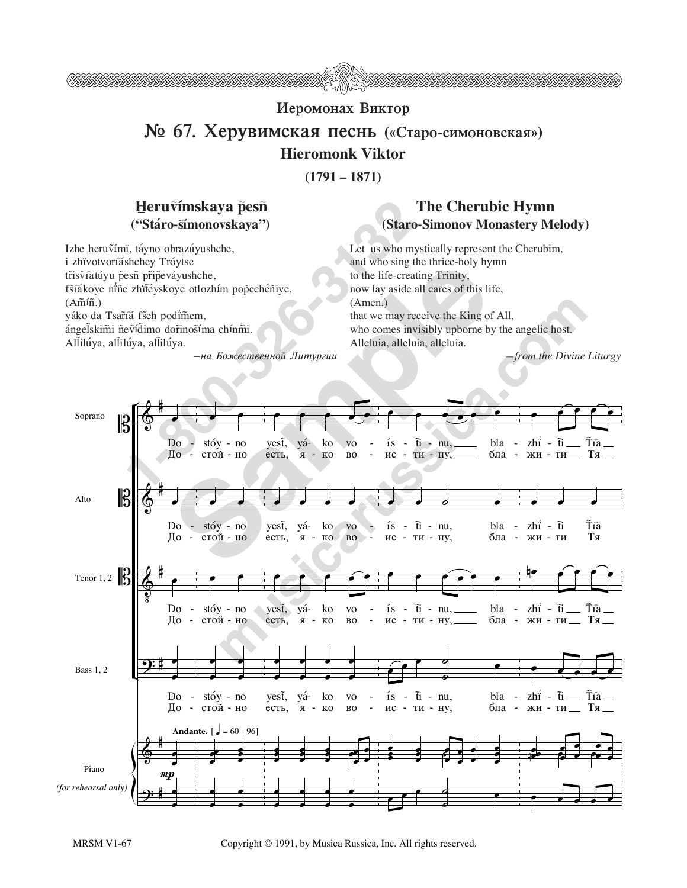

## Иеромонах Виктор  $\mathbb{N}$  **© 67. Херувимская песнь** («Старо-симоновская») **Hieromonk Viktor**

**(1791 – 1871)**

## Heruvímskaya pesn ("Stáro-s̃ímonovskaya")

Izhe heruṽímï, táyno obrazúyushche, i zhïvotvoríáshchey Tróytse tr̃isṽiatúyu p̃esñ pr̃ip̃eváyushche, fšíákoye nine zhiťéyskoye otlozhím pop̃echéñiye,  $(A\tilde{m}\tilde{m})$ . yáko da Tsar̃íá fše<u>h</u> podïm̃em, ángeľskimi ñevídimo dorinosíma chínmi. Allilúya, allilúya, allilúya.

 $-$ на Божественной Литургии

## **The Cherubic Hymn (Staro-Simonov Monastery Melody)**

Let us who mystically represent the Cherubim, and who sing the thrice-holy hymn to the life-creating Trinity, now lay aside all cares of this life, (Amen.) that we may receive the King of All, who comes invisibly upborne by the angelic host. Alleluia, alleluia, alleluia.

*—from the Divine Liturgy*



MRSM V1-67 Copyright © 1991, by Musica Russica, Inc. All rights reserved.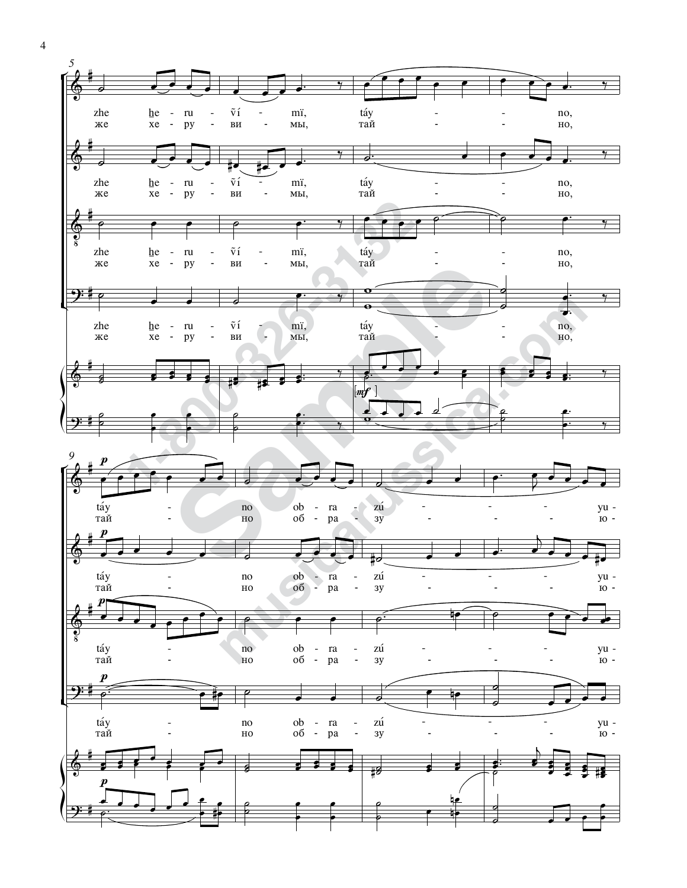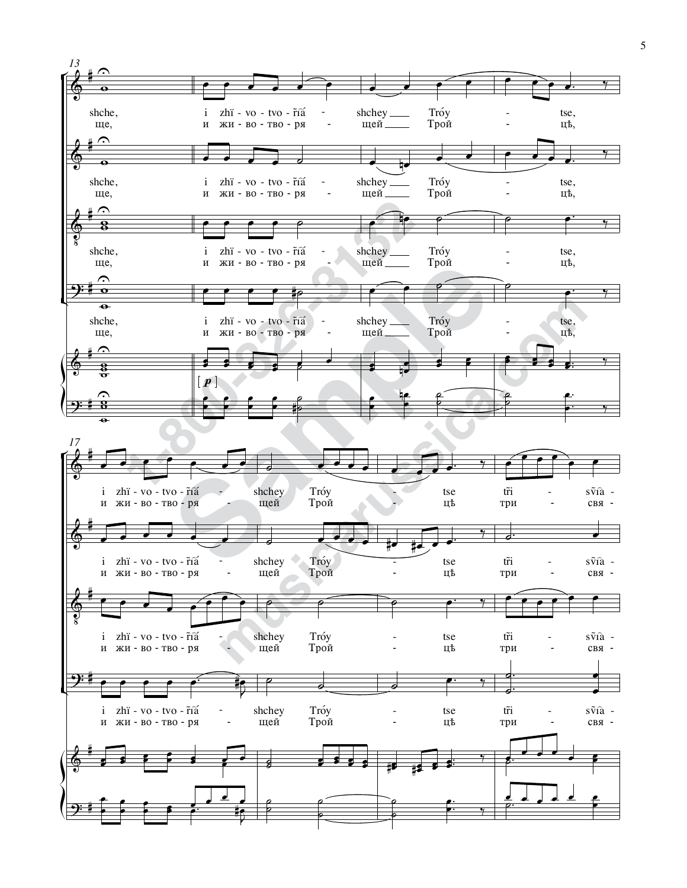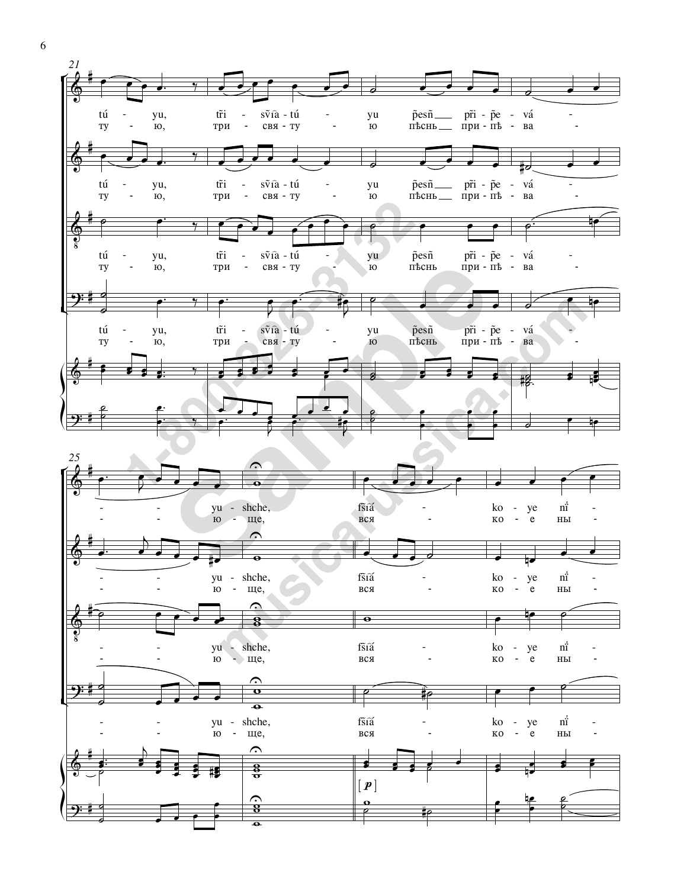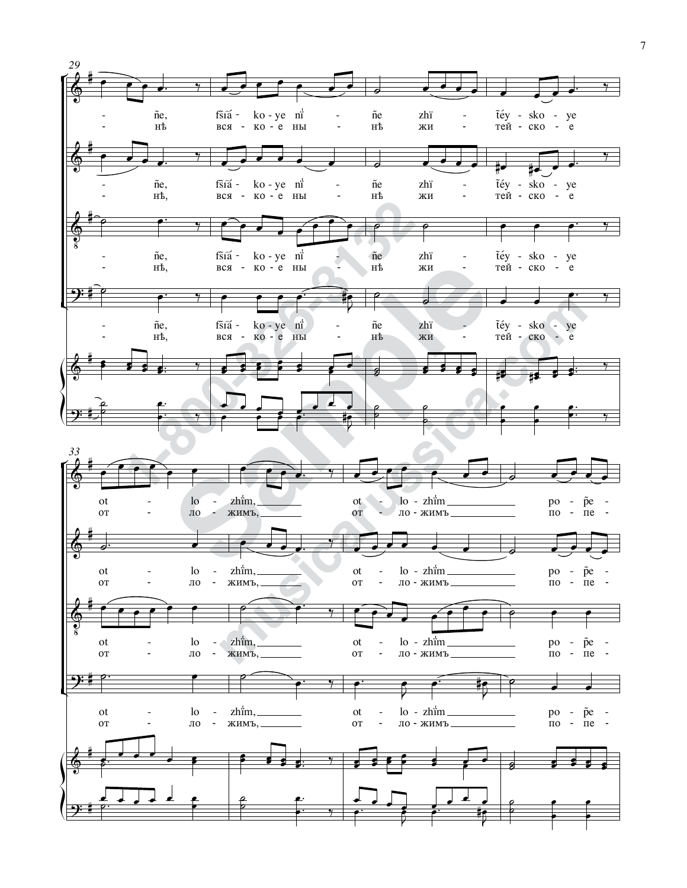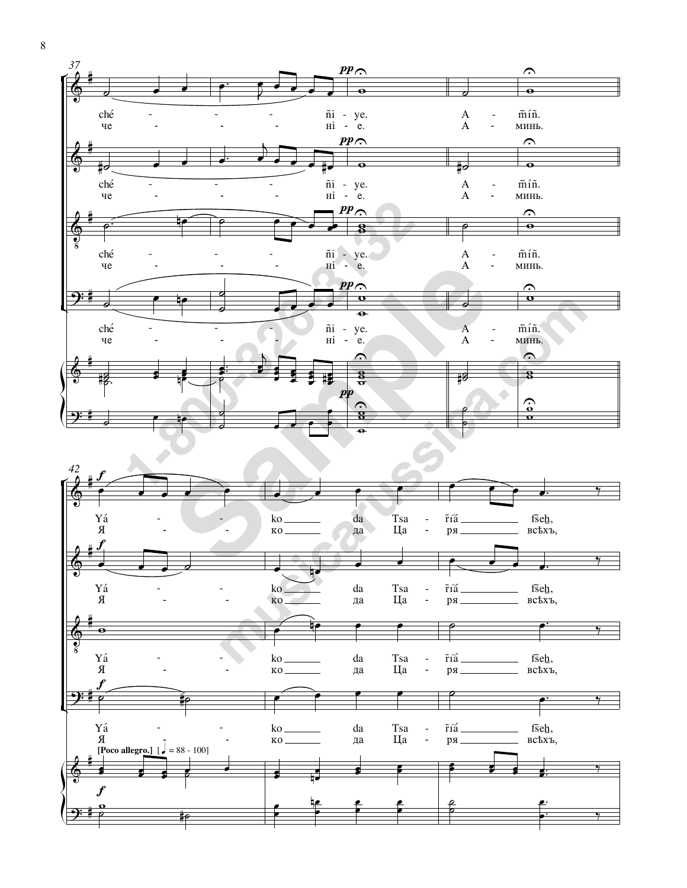